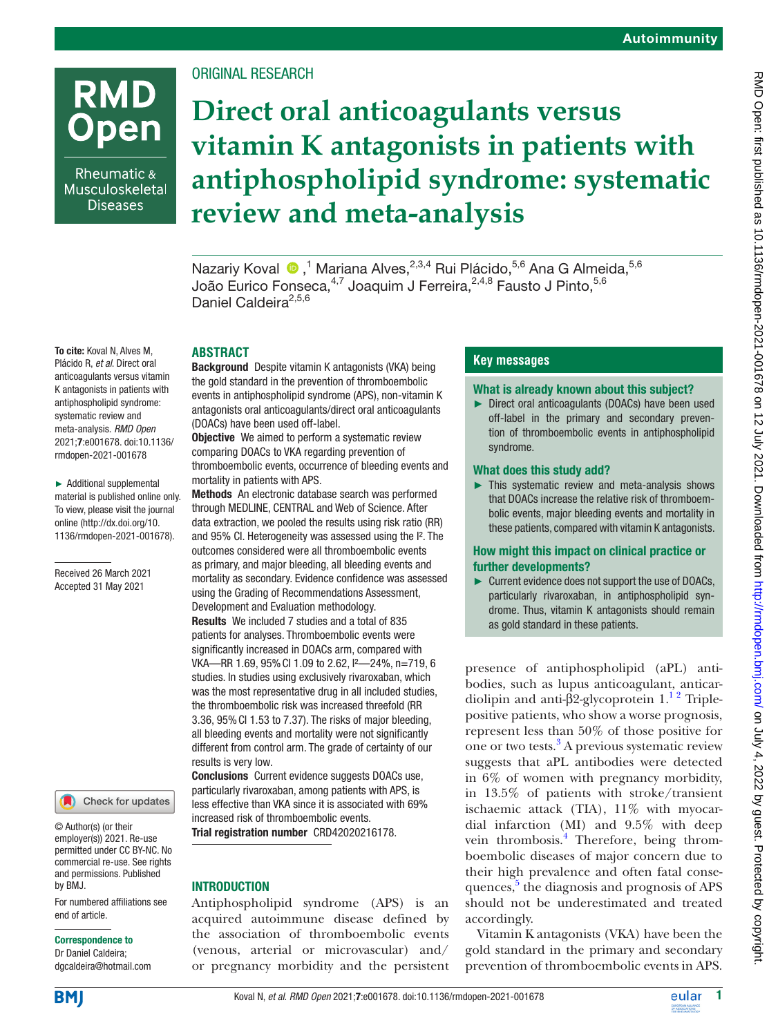# **RMD Open**

Rheumatic & Musculoskeletal **Diseases** 

To cite: Koval N, Alves M, Plácido R, *et al*. Direct oral anticoagulants versus vitamin K antagonists in patients with antiphospholipid syndrome: systematic review and meta-analysis. *RMD Open* 2021;7:e001678. doi:10.1136/ rmdopen-2021-001678

► Additional supplemental material is published online only. To view, please visit the journal online ([http://dx.doi.org/10.](http://dx.doi.org/10.1136/rmdopen-2021-001678) [1136/rmdopen-2021-001678\)](http://dx.doi.org/10.1136/rmdopen-2021-001678).

Received 26 March 2021 Accepted 31 May 2021

ORIGINAL RESEARCH

# **Direct oral anticoagulants versus vitamin K antagonists in patients with antiphospholipid syndrome: systematic review and meta-analysis**

NazariyKoval ®,<sup>1</sup> Mariana Alves,<sup>2,3,4</sup> Rui Plácido,<sup>5,6</sup> Ana G Almeida,<sup>5,6</sup> João Eurico Fonseca,<sup>4,7</sup> Joaquim J Ferreira,<sup>2,4,8</sup> Fausto J Pinto,<sup>5,6</sup> Daniel Caldeira<sup>2,5,6</sup>

# **ABSTRACT**

Background Despite vitamin K antagonists (VKA) being the gold standard in the prevention of thromboembolic events in antiphospholipid syndrome (APS), non-vitamin K antagonists oral anticoagulants/direct oral anticoagulants (DOACs) have been used off-label.

**Objective** We aimed to perform a systematic review comparing DOACs to VKA regarding prevention of thromboembolic events, occurrence of bleeding events and mortality in patients with APS.

Methods An electronic database search was performed through MEDLINE, CENTRAL and Web of Science. After data extraction, we pooled the results using risk ratio (RR) and 95% Cl. Heterogeneity was assessed using the I<sup>2</sup>. The outcomes considered were all thromboembolic events as primary, and major bleeding, all bleeding events and mortality as secondary. Evidence confidence was assessed using the Grading of Recommendations Assessment, Development and Evaluation methodology. Results We included 7 studies and a total of 835 patients for analyses. Thromboembolic events were significantly increased in DOACs arm, compared with VKA—RR 1.69, 95%CI 1.09 to 2.62, I²—24%, n=719, 6 studies. In studies using exclusively rivaroxaban, which

was the most representative drug in all included studies, the thromboembolic risk was increased threefold (RR 3.36, 95%CI 1.53 to 7.37). The risks of major bleeding, all bleeding events and mortality were not significantly different from control arm. The grade of certainty of our results is very low.

Conclusions Current evidence suggests DOACs use, particularly rivaroxaban, among patients with APS, is less effective than VKA since it is associated with 69% increased risk of thromboembolic events. Trial registration number CRD42020216178.

# INTRODUCTION

Antiphospholipid syndrome (APS) is an acquired autoimmune disease defined by the association of thromboembolic events (venous, arterial or microvascular) and/ or pregnancy morbidity and the persistent

# **Key messages**

#### What is already known about this subject?

► Direct oral anticoagulants (DOACs) have been used off-label in the primary and secondary prevention of thromboembolic events in antiphospholipid syndrome.

#### What does this study add?

► This systematic review and meta-analysis shows that DOACs increase the relative risk of thromboembolic events, major bleeding events and mortality in these patients, compared with vitamin K antagonists.

#### How might this impact on clinical practice or further developments?

► Current evidence does not support the use of DOACs, particularly rivaroxaban, in antiphospholipid syndrome. Thus, vitamin K antagonists should remain as gold standard in these patients.

presence of antiphospholipid (aPL) antibodies, such as lupus anticoagulant, anticardiolipin and anti-β2-glycoprotein  $1<sup>12</sup>$  Triplepositive patients, who show a worse prognosis, represent less than 50% of those positive for one or two tests.<sup>3</sup> A previous systematic review suggests that aPL antibodies were detected in 6% of women with pregnancy morbidity, in 13.5% of patients with stroke/transient ischaemic attack (TIA), 11% with myocardial infarction (MI) and 9.5% with deep vein thrombosis.<sup>4</sup> Therefore, being thromboembolic diseases of major concern due to their high prevalence and often fatal conse-quences,<sup>[5](#page-8-3)</sup> the diagnosis and prognosis of APS should not be underestimated and treated accordingly.

Vitamin K antagonists (VKA) have been the gold standard in the primary and secondary prevention of thromboembolic events in APS.

end of article. Correspondence to

by BMJ.

Dr Daniel Caldeira; dgcaldeira@hotmail.com

For numbered affiliations see

Check for updates

© Author(s) (or their employer(s)) 2021. Re-use permitted under CC BY-NC. No commercial re-use. See rights and permissions. Published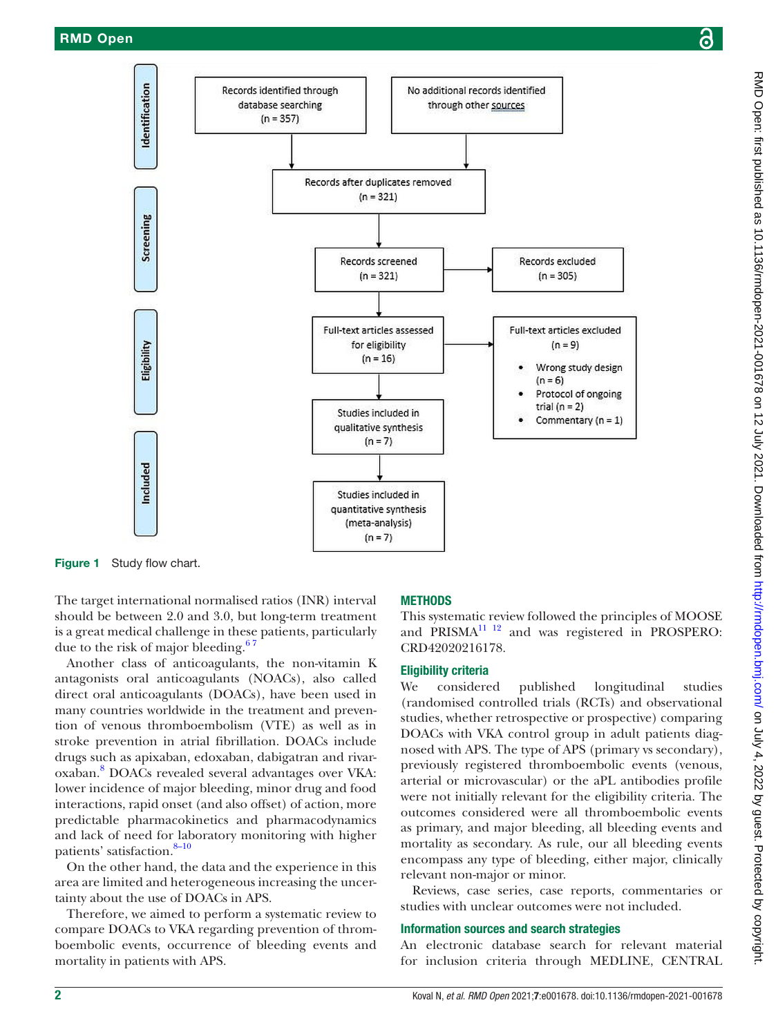

<span id="page-1-0"></span>Figure 1 Study flow chart.

The target international normalised ratios (INR) interval should be between 2.0 and 3.0, but long-term treatment is a great medical challenge in these patients, particularly due to the risk of major bleeding. $67$ 

Another class of anticoagulants, the non-vitamin K antagonists oral anticoagulants (NOACs), also called direct oral anticoagulants (DOACs), have been used in many countries worldwide in the treatment and prevention of venous thromboembolism (VTE) as well as in stroke prevention in atrial fibrillation. DOACs include drugs such as apixaban, edoxaban, dabigatran and rivaroxaban.[8](#page-8-5) DOACs revealed several advantages over VKA: lower incidence of major bleeding, minor drug and food interactions, rapid onset (and also offset) of action, more predictable pharmacokinetics and pharmacodynamics and lack of need for laboratory monitoring with higher patients' satisfaction.<sup>8-10</sup>

On the other hand, the data and the experience in this area are limited and heterogeneous increasing the uncertainty about the use of DOACs in APS.

Therefore, we aimed to perform a systematic review to compare DOACs to VKA regarding prevention of thromboembolic events, occurrence of bleeding events and mortality in patients with APS.

#### **METHODS**

This systematic review followed the principles of MOOSE and PRISMA<sup>11 12</sup> and was registered in PROSPERO: CRD42020216178.

# Eligibility criteria

We considered published longitudinal studies (randomised controlled trials (RCTs) and observational studies, whether retrospective or prospective) comparing DOACs with VKA control group in adult patients diagnosed with APS. The type of APS (primary vs secondary), previously registered thromboembolic events (venous, arterial or microvascular) or the aPL antibodies profile were not initially relevant for the eligibility criteria. The outcomes considered were all thromboembolic events as primary, and major bleeding, all bleeding events and mortality as secondary. As rule, our all bleeding events encompass any type of bleeding, either major, clinically relevant non-major or minor.

Reviews, case series, case reports, commentaries or studies with unclear outcomes were not included.

#### Information sources and search strategies

An electronic database search for relevant material for inclusion criteria through MEDLINE, CENTRAL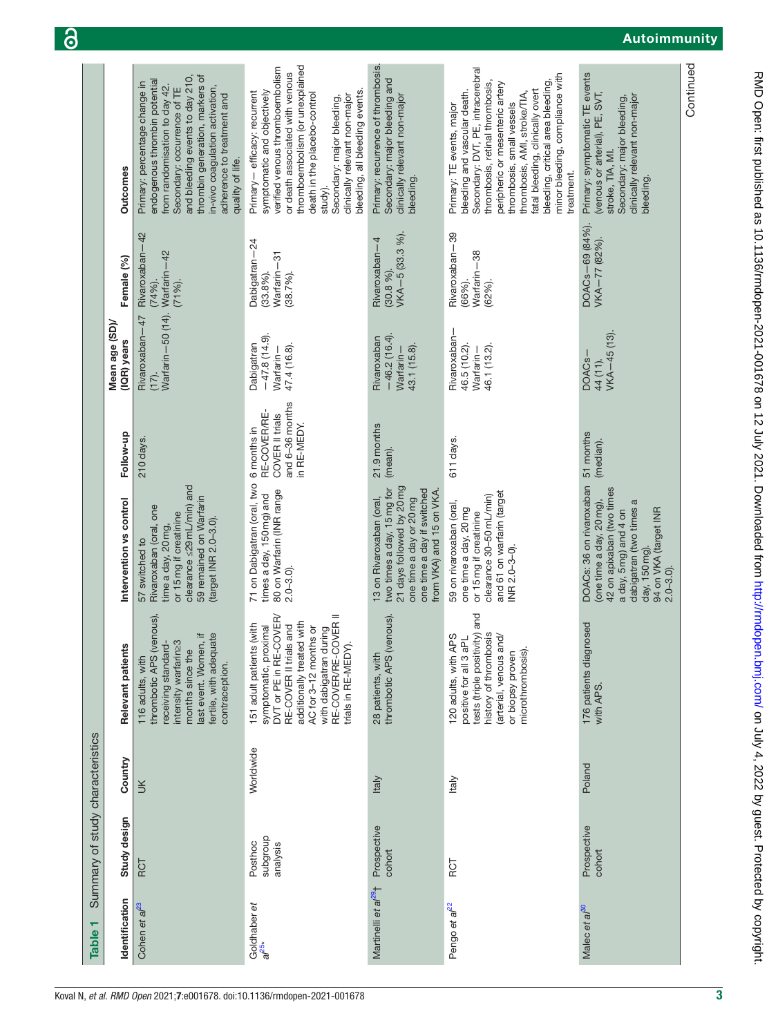<span id="page-2-0"></span>

|                                  |                              |                                                                                                                                                                                                                                                                                           |                                                                                                                                                                                                                                                                                                                   |                                                                                                                                                                         |                                                                                                                                                                                                                                                                                                                                                            |                                                                                                                                                                                                 | Continued |
|----------------------------------|------------------------------|-------------------------------------------------------------------------------------------------------------------------------------------------------------------------------------------------------------------------------------------------------------------------------------------|-------------------------------------------------------------------------------------------------------------------------------------------------------------------------------------------------------------------------------------------------------------------------------------------------------------------|-------------------------------------------------------------------------------------------------------------------------------------------------------------------------|------------------------------------------------------------------------------------------------------------------------------------------------------------------------------------------------------------------------------------------------------------------------------------------------------------------------------------------------------------|-------------------------------------------------------------------------------------------------------------------------------------------------------------------------------------------------|-----------|
|                                  | <b>Outcomes</b>              | thrombin generation, markers of<br>and bleeding events to day 210,<br>endogenous thrombin potential<br>Primary: percentage change in<br>from randomisation to day 42.<br>in-vivo coagulation activation,<br>Secondary: occurrence of TE<br>adherence to treatment and<br>quality of life. | thromboembolism (or unexplained<br>verified venous thromboembolism<br>or death associated with venous<br>bleeding, all bleeding events.<br>Primary - efficacy: recurrent<br>symptomatic and objectively<br>death in the placebo-control<br>clinically relevant non-major<br>Secondary: major bleeding,<br>study). | Primary: recurrence of thrombosis.<br>Secondary: major bleeding and<br>clinically relevant non-major<br>bleeding.                                                       | Secondary: DVT, PE, intracerebral<br>minor bleeding, compliance with<br>bleeding, critical area bleeding,<br>thrombosis, retinal thrombosis,<br>peripheric or mesenteric artery<br>bleeding and vascular death.<br>fatal bleeding, clinically overt<br>thrombosis, AMI, stroke/TIA<br>thrombosis, small vessels<br>Primary: TE events, major<br>treatment. | Primary: symptomatic TE events<br>(venous or arterial), PE, SVT,<br>clinically relevant non-major<br>Secondary: major bleeding,<br>stroke, TIA, MI.<br>bleeding.                                |           |
|                                  | Female (%)                   | Rivaroxaban-42<br>Warfarin-42<br>(74%).<br>$(71%)$ .                                                                                                                                                                                                                                      | Dabigatran-24<br>Warfarin-31<br>$(33.8\%)$ .<br>(38.7%)                                                                                                                                                                                                                                                           | VKA-5 (33.3 %).<br>Rivaroxaban-4<br>$(30.8\%)$ .                                                                                                                        | Rivaroxaban-39<br>Warfarin-38<br>(66%).<br>$(62%)$ .                                                                                                                                                                                                                                                                                                       | DOACs-69 (84%).<br>VKA-77 (82%).                                                                                                                                                                |           |
|                                  | Mean age (SD)<br>(IQR) years | Warfarin-50 (14).<br>Rivaroxaban-47<br>$(17)$ .                                                                                                                                                                                                                                           | $-47.8(14.9)$<br>Dabigatran<br>47.4 (16.8).<br>Warfarin-                                                                                                                                                                                                                                                          | $-46.2(16.4)$<br>Rivaroxaban<br>43.1 (15.8).<br>Warfarin-                                                                                                               | Rivaroxaban-<br>46.5 (10.2).<br>46.1 (13.2).<br>Warfarin –                                                                                                                                                                                                                                                                                                 | VKA-45 (13)<br>DOAC <sub>s</sub> -<br>44 (11).                                                                                                                                                  |           |
|                                  | Follow-up                    | 210 days.                                                                                                                                                                                                                                                                                 | and 6-36 months<br>RE-COVER/RE-<br>COVER II trials<br>in RE-MEDY.<br>6 months in                                                                                                                                                                                                                                  | 21.9 months<br>(mean).                                                                                                                                                  | 611 days.                                                                                                                                                                                                                                                                                                                                                  | 51 months<br>(median).                                                                                                                                                                          |           |
|                                  | Intervention vs control      | clearance <29mL/min) and<br>59 remained on Warfarin<br>Rivaroxaban (oral, one<br>or 15mg if creatinine<br>(target INR 2.0-3.0).<br>time a day, 20mg,<br>57 switched to                                                                                                                    | 71 on Dabigatran (oral, two<br>80 on Warfarin (INR range<br>times a day, 150mg) and<br>$2.0 - 3.0$ ).                                                                                                                                                                                                             | 21 days followed by 20mg<br>one time a day if switched<br>two times a day, 15 mg for<br>from VKA) and 15 on VKA.<br>one time a day or 20 mg<br>13 on Rivaroxaban (oral, | and 61 on warfarin (target<br>clearance 30-50mL/min)<br>59 on rivaroxaban (oral,<br>one time a day, 20mg<br>or 15mg if creatinine<br>NR 2.0-3-0)                                                                                                                                                                                                           | DOACs: 36 on rivaroxaban<br>42 on apixaban (two times<br>(one time a day, 20mg),<br>dabigatran (two times a<br>a day, 5mg) and 4 on<br>94 on VKA (target INR<br>day, 150 mg).<br>$2.0 - 3.0$ ). |           |
|                                  | Relevant patients            | thrombotic APS (venous),<br>fertile, with adequate<br>last event. Women, if<br>intensity warfarin23<br>receiving standard-<br>months since the<br>116 adults, with<br>contraception.                                                                                                      | with dabigatran during<br>RE-COVER/RE-COVER II<br>DVT or PE in RE-COVER<br>additionally treated with<br>(with<br>RE-COVER II trials and<br>symptomatic, proximal<br>AC for 3-12 months or<br>151 adult patients<br>trials in RE-MEDY)                                                                             | thrombotic APS (venous).<br>28 patients, with                                                                                                                           | tests (triple positivity) and<br>history of thrombosis<br>120 adults, with APS<br>(arterial, venous and/<br>positive for all 3 aPL<br>microthrombosis).<br>or biopsy proven                                                                                                                                                                                | 176 patients diagnosed<br>with APS.                                                                                                                                                             |           |
|                                  | Country                      | У                                                                                                                                                                                                                                                                                         | Worldwide                                                                                                                                                                                                                                                                                                         | <b>Italy</b>                                                                                                                                                            | <b>Italy</b>                                                                                                                                                                                                                                                                                                                                               | Poland                                                                                                                                                                                          |           |
| Summary of study characteristics | Study design                 | RCT                                                                                                                                                                                                                                                                                       | quorgans<br>Posthoc<br>analysis                                                                                                                                                                                                                                                                                   | Prospective<br>cohort                                                                                                                                                   | RCT                                                                                                                                                                                                                                                                                                                                                        | Prospective<br>cohort                                                                                                                                                                           |           |
| ٣<br><b>Table</b>                | Identification               | Cohen et al <sup>23</sup>                                                                                                                                                                                                                                                                 | Goldhaber et<br>$a^{25}$                                                                                                                                                                                                                                                                                          | Martinelli et al <sup>29</sup> +                                                                                                                                        | Pengo et al <sup>22</sup>                                                                                                                                                                                                                                                                                                                                  | Malec et al <sup>30</sup>                                                                                                                                                                       |           |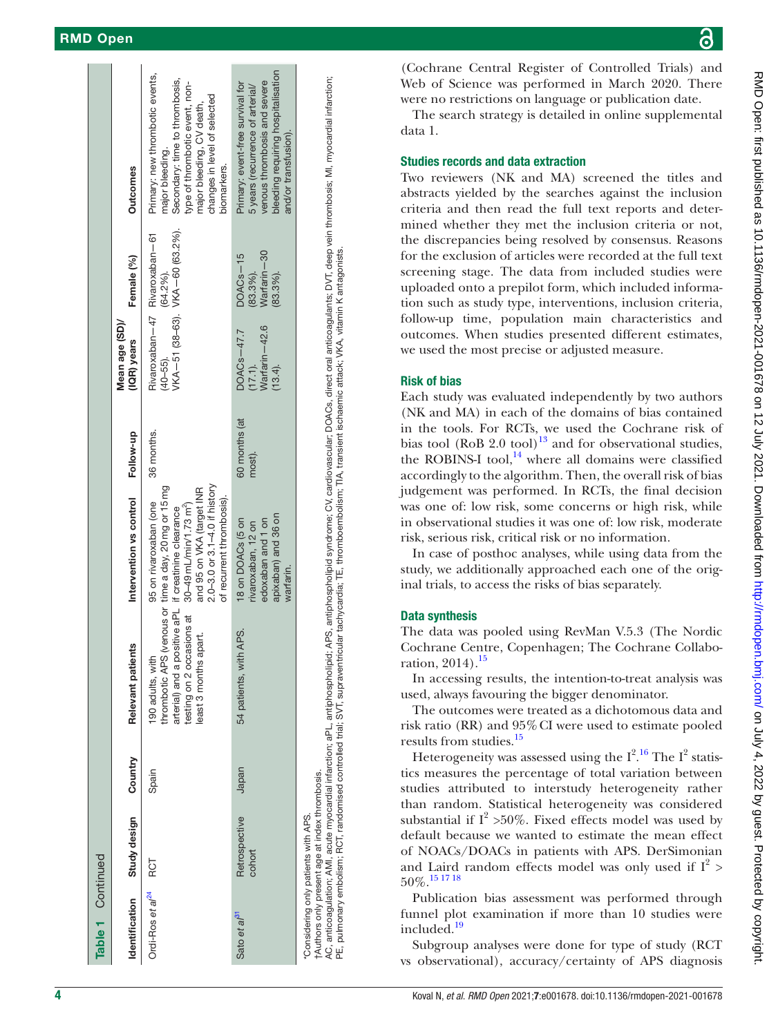| Table 1 Continued<br>Identification<br>Ordi-Ros et al <sup>24</sup><br>Sato et $a^{31}$ | Study design<br>Retrospective<br>cohort<br>RCT                                        | Country<br>Japan<br>Spain | thrombotic APS (venous or time a day, 20 mg or 15 mg<br>arterial) and a positive aPL if creatinine clearance<br>testing on 2 occasions at<br>APS.<br>least 3 months apart.<br>Relevant patients<br>54 patients, with<br>190 adults, with | Intervention vs control<br>$2.0 - 3.0$ or $3.1 - 4.0$ if history<br>and 95 on VKA (target INR<br>of recurrent thrombosis).<br>95 on rivaroxaban (one<br>30-49 mL/min/1.73 m <sup>2</sup> )<br>apixaban) and 36 on<br>edoxaban and 1 on<br>18 on DOACs (5 on<br>rivaroxaban, 12 on<br>warfarin. | 60 months (at<br>Follow-up<br>36 months.<br>most). | Rivaroxaban-47 Rivaroxaban-61<br>Mean age (SD)/<br>(17.1).<br>Warfarin—42.6<br>DOACs-47.7<br>(IQR) years<br>$(40 - 55)$ .<br>$(13.4)$ . | VKA-51 (38-63). VKA-60 (63.2%).<br>Warfarin-30<br>$DOACS - 15$<br>Female (%)<br>(64.2%).<br>$(83.3\%)$ .<br>$(83.3\%)$ . | bleeding requiring hospitalisation<br>Primary: new thrombotic events,<br>Secondary: time to thrombosis,<br>venous thrombosis and severe<br>Primary: event-free survival for<br>type of thrombotic event, non-<br>5 years (recurrence of arterial/<br>changes in level of selected<br>major bleeding, CV death,<br>and/or transfusion).<br>najor bleeding.<br>biomarkers.<br><b>Outcomes</b> |
|-----------------------------------------------------------------------------------------|---------------------------------------------------------------------------------------|---------------------------|------------------------------------------------------------------------------------------------------------------------------------------------------------------------------------------------------------------------------------------|------------------------------------------------------------------------------------------------------------------------------------------------------------------------------------------------------------------------------------------------------------------------------------------------|----------------------------------------------------|-----------------------------------------------------------------------------------------------------------------------------------------|--------------------------------------------------------------------------------------------------------------------------|---------------------------------------------------------------------------------------------------------------------------------------------------------------------------------------------------------------------------------------------------------------------------------------------------------------------------------------------------------------------------------------------|
|                                                                                         | tAuthors only present age at index thrombosis.<br>Considering only patients with APS. |                           |                                                                                                                                                                                                                                          |                                                                                                                                                                                                                                                                                                |                                                    |                                                                                                                                         |                                                                                                                          |                                                                                                                                                                                                                                                                                                                                                                                             |
|                                                                                         |                                                                                       |                           |                                                                                                                                                                                                                                          |                                                                                                                                                                                                                                                                                                |                                                    |                                                                                                                                         |                                                                                                                          |                                                                                                                                                                                                                                                                                                                                                                                             |
|                                                                                         |                                                                                       |                           |                                                                                                                                                                                                                                          |                                                                                                                                                                                                                                                                                                |                                                    |                                                                                                                                         |                                                                                                                          |                                                                                                                                                                                                                                                                                                                                                                                             |
|                                                                                         |                                                                                       |                           |                                                                                                                                                                                                                                          |                                                                                                                                                                                                                                                                                                |                                                    |                                                                                                                                         |                                                                                                                          |                                                                                                                                                                                                                                                                                                                                                                                             |
|                                                                                         |                                                                                       |                           |                                                                                                                                                                                                                                          |                                                                                                                                                                                                                                                                                                |                                                    |                                                                                                                                         |                                                                                                                          |                                                                                                                                                                                                                                                                                                                                                                                             |

AC, anticoagulation; AMI, acute myocardial infarction; aPL, antiphospholipid; APS, antiphospholipid syndrome; CV, cardiovascular; DOACs, direct oral anticoagulants; DVT, deep vein thrombosis; MI, myocardial infarction; anticoaqulation: AMI, acute myocardial infarction: aPL, antiphospholipid: APS, antiphospholipid syndrome; CV, cardiovascular: DOACs, direct oral anticoaqularts: DVT, deep vein thrombosis; MI, myocardial infarction; pulmonary embolism; RCT, randomised controlled trial; SVT, supraventricular tachycardia; TE, thromboembolism; TIA, transient ischaemic attack; VKA, vitamin K antagonists PE, pulmonary embolism; RCT, randomised controlled trial; SVT, supraventricular tachycardia; TE, thromboembolism; TIA, transient ischaemic attack; VKA, vitamin K antagonists. Q ⊬<br>A E

(Cochrane Central Register of Controlled Trials) and Web of Science was performed in March 2020. There were no restrictions on language or publication date.

The search strategy is detailed in [online supplemental](https://dx.doi.org/10.1136/rmdopen-2021-001678) [data 1](https://dx.doi.org/10.1136/rmdopen-2021-001678).

#### Studies records and data extraction

Two reviewers (NK and MA) screened the titles and abstracts yielded by the searches against the inclusion criteria and then read the full text reports and determined whether they met the inclusion criteria or not, the discrepancies being resolved by consensus. Reasons for the exclusion of articles were recorded at the full text screening stage. The data from included studies were uploaded onto a prepilot form, which included information such as study type, interventions, inclusion criteria, follow-up time, population main characteristics and outcomes. When studies presented different estimates, we used the most precise or adjusted measure.

### Risk of bias

Each study was evaluated independently by two authors (NK and MA) in each of the domains of bias contained in the tools. For RCTs, we used the Cochrane risk of bias tool (RoB 2.0 tool)<sup>[13](#page-9-6)</sup> and for observational studies, the ROBINS-I tool, $^{14}$  where all domains were classified accordingly to the algorithm. Then, the overall risk of bias judgement was performed. In RCTs, the final decision was one of: low risk, some concerns or high risk, while in observational studies it was one of: low risk, moderate risk, serious risk, critical risk or no information.

In case of posthoc analyses, while using data from the study, we additionally approached each one of the orig inal trials, to access the risks of bias separately.

# Data synthesis

The data was pooled using RevMan V.5.3 (The Nordic Cochrane Centre, Copenhagen; The Cochrane Collabo ration,  $2014$ ).<sup>[15](#page-9-8)</sup>

In accessing results, the intention-to-treat analysis was used, always favouring the bigger denominator.

The outcomes were treated as a dichotomous data and risk ratio (RR) and 95%CI were used to estimate pooled results from studies.<sup>[15](#page-9-8)</sup>

Heterogeneity was assessed using the  $I^{2.16}$  $I^{2.16}$  $I^{2.16}$  The  $I^{2}$  statistics measures the percentage of total variation between studies attributed to interstudy heterogeneity rather than random. Statistical heterogeneity was considered substantial if  $I^2 > 50\%$ . Fixed effects model was used by default because we wanted to estimate the mean effect of NOACs/DOACs in patients with APS. DerSimonian and Laird random effects model was only used if  $I^2$  > 50%.[15 17 18](#page-9-8)

Publication bias assessment was performed through funnel plot examination if more than 10 studies were included.<sup>19</sup>

Subgroup analyses were done for type of study (RCT vs observational), accuracy/certainty of APS diagnosis

Table 1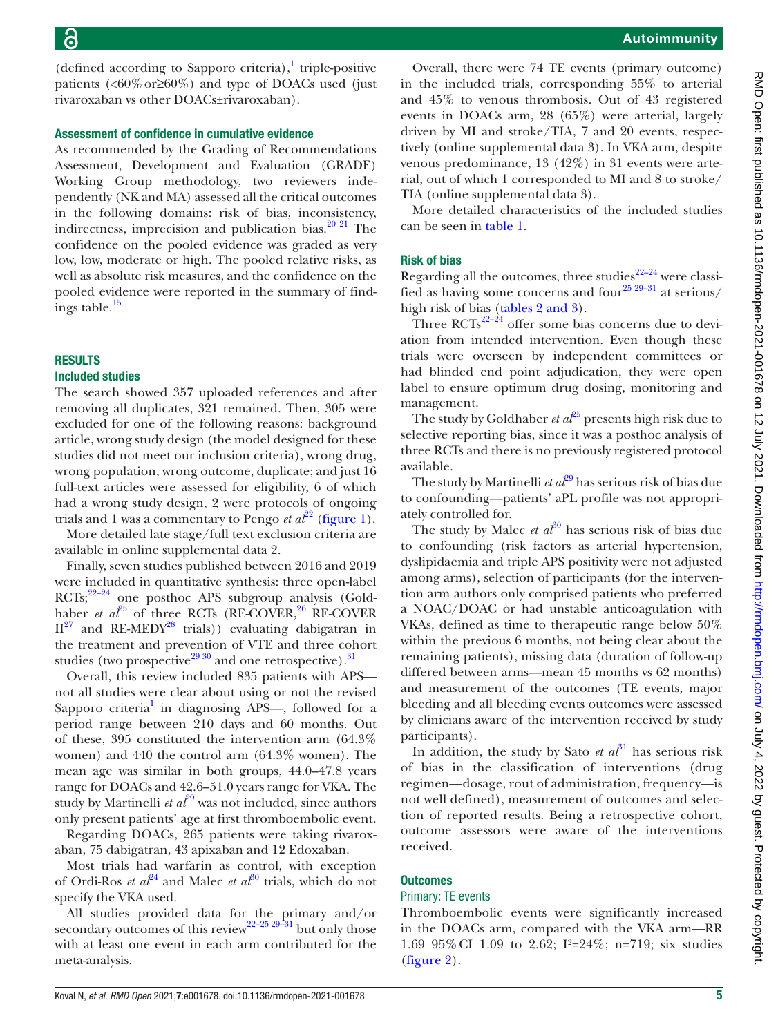$(defined according to Sapporo criteria),<sup>1</sup> triple-positive$ patients  $\langle 60\% \text{ or} \ge 60\% \rangle$  and type of DOACs used (just rivaroxaban vs other DOACs±rivaroxaban).

#### Assessment of confidence in cumulative evidence

As recommended by the Grading of Recommendations Assessment, Development and Evaluation (GRADE) Working Group methodology, two reviewers independently (NK and MA) assessed all the critical outcomes in the following domains: risk of bias, inconsistency, indirectness, imprecision and publication bias. $20$   $21$  The confidence on the pooled evidence was graded as very low, low, moderate or high. The pooled relative risks, as well as absolute risk measures, and the confidence on the pooled evidence were reported in the summary of find-ings table.<sup>[15](#page-9-8)</sup>

#### RESULTS

#### Included studies

The search showed 357 uploaded references and after removing all duplicates, 321 remained. Then, 305 were excluded for one of the following reasons: background article, wrong study design (the model designed for these studies did not meet our inclusion criteria), wrong drug, wrong population, wrong outcome, duplicate; and just 16 full-text articles were assessed for eligibility, 6 of which had a wrong study design, 2 were protocols of ongoing trials and 1 was a commentary to Pengo *et*  $a^{2^2}$  ([figure](#page-1-0) 1).

More detailed late stage/full text exclusion criteria are available in [online supplemental data 2.](https://dx.doi.org/10.1136/rmdopen-2021-001678)

Finally, seven studies published between 2016 and 2019 were included in quantitative synthesis: three open-label  $RCTs$ ;<sup>22–24</sup> one posthoc APS subgroup analysis (Goldhaber *et al*<sup>[25](#page-9-2)</sup> of three RCTs (RE-COVER,  $^{26}$  RE-COVER  $II^{27}$  $II^{27}$  $II^{27}$  and RE-MEDY<sup>28</sup> trials)) evaluating dabigatran in the treatment and prevention of VTE and three cohort studies (two prospective $2930$  and one retrospective).<sup>[31](#page-9-12)</sup>

Overall, this review included 835 patients with APS not all studies were clear about using or not the revised Sapporo criteria<sup>[1](#page-8-0)</sup> in diagnosing APS—, followed for a period range between 210 days and 60 months. Out of these, 395 constituted the intervention arm (64.3% women) and 440 the control arm (64.3% women). The mean age was similar in both groups, 44.0–47.8 years range for DOACs and 42.6–51.0 years range for VKA. The study by Martinelli *et*  $a\ell^{9}$  was not included, since authors only present patients' age at first thromboembolic event.

Regarding DOACs, 265 patients were taking rivaroxaban, 75 dabigatran, 43 apixaban and 12 Edoxaban.

Most trials had warfarin as control, with exception of Ordi-Ros *et al*<sup>[24](#page-9-11)</sup> and Malec *et al*<sup>[30](#page-9-5)</sup> trials, which do not specify the VKA used.

All studies provided data for the primary and/or secondary outcomes of this review<sup>22–25</sup> 29-31</sup> but only those with at least one event in each arm contributed for the meta-analysis.

Overall, there were 74 TE events (primary outcome) in the included trials, corresponding 55% to arterial and 45% to venous thrombosis. Out of 43 registered events in DOACs arm, 28 (65%) were arterial, largely driven by MI and stroke/TIA, 7 and 20 events, respectively [\(online supplemental data 3](https://dx.doi.org/10.1136/rmdopen-2021-001678)). In VKA arm, despite venous predominance, 13 (42%) in 31 events were arterial, out of which 1 corresponded to MI and 8 to stroke/ TIA ([online supplemental data 3\)](https://dx.doi.org/10.1136/rmdopen-2021-001678).

More detailed characteristics of the included studies can be seen in [table](#page-2-0) 1.

#### Risk of bias

Regarding all the outcomes, three studies $22-24$  were classified as having some concerns and four<sup>25 29-31</sup> at serious/ high risk of bias (tables [2 and 3\)](#page-5-0).

Three RCTs $^{22-24}$  offer some bias concerns due to deviation from intended intervention. Even though these trials were overseen by independent committees or had blinded end point adjudication, they were open label to ensure optimum drug dosing, monitoring and management.

The study by Goldhaber *et*  $a^{25}$  presents high risk due to selective reporting bias, since it was a posthoc analysis of three RCTs and there is no previously registered protocol available.

The study by Martinelli *et al*<sup>[29](#page-9-3)</sup> has serious risk of bias due to confounding—patients' aPL profile was not appropriately controlled for.

The study by Malec *et*  $a_0^{\beta 0}$  has serious risk of bias due to confounding (risk factors as arterial hypertension, dyslipidaemia and triple APS positivity were not adjusted among arms), selection of participants (for the intervention arm authors only comprised patients who preferred a NOAC/DOAC or had unstable anticoagulation with VKAs, defined as time to therapeutic range below 50% within the previous 6 months, not being clear about the remaining patients), missing data (duration of follow-up differed between arms—mean 45 months vs 62 months) and measurement of the outcomes (TE events, major bleeding and all bleeding events outcomes were assessed by clinicians aware of the intervention received by study participants).

In addition, the study by Sato *et al*<sup>[31](#page-9-12)</sup> has serious risk of bias in the classification of interventions (drug regimen—dosage, rout of administration, frequency—is not well defined), measurement of outcomes and selection of reported results. Being a retrospective cohort, outcome assessors were aware of the interventions received.

#### **Outcomes**

#### Primary: TE events

Thromboembolic events were significantly increased in the DOACs arm, compared with the VKA arm—RR 1.69 95%CI 1.09 to 2.62; I²=24%; n=719; six studies [\(figure](#page-6-0) 2).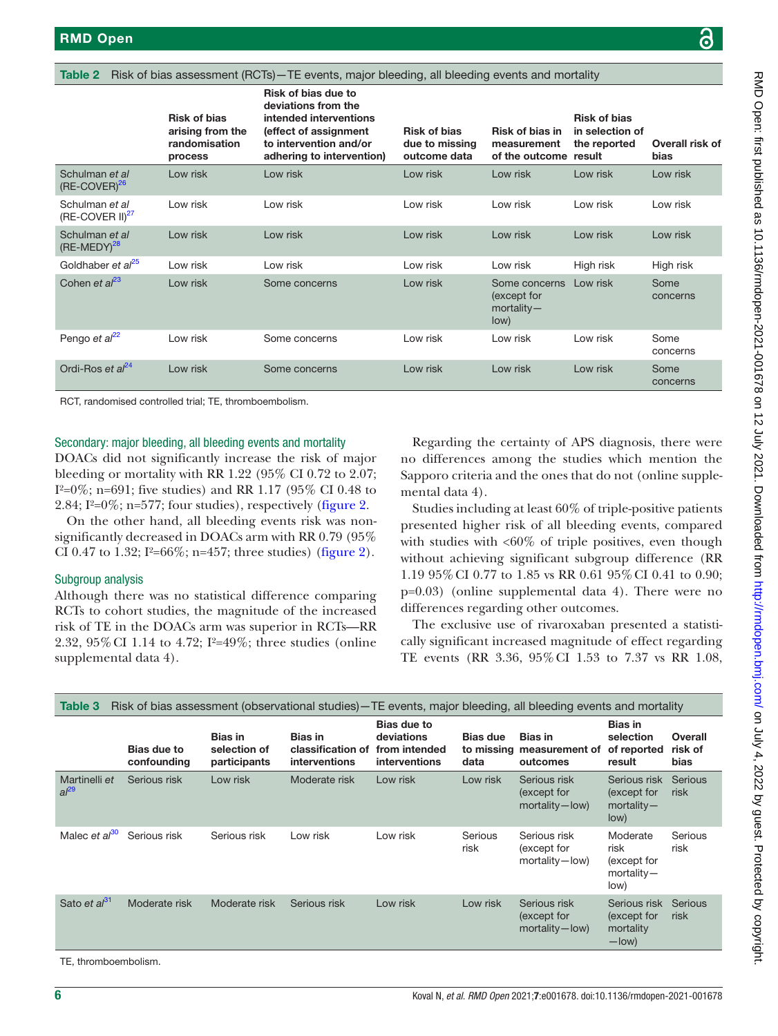<span id="page-5-0"></span>Table 2 Risk of bias assessment (RCTs) - TE events, major bleeding, all bleeding events and mortality

|                                     | <b>Risk of bias</b><br>arising from the<br>randomisation<br>process | Risk of bias due to<br>deviations from the<br>intended interventions<br>(effect of assignment<br>to intervention and/or<br>adhering to intervention) | <b>Risk of bias</b><br>due to missing<br>outcome data | <b>Risk of bias in</b><br>measurement<br>of the outcome result | <b>Risk of bias</b><br>in selection of<br>the reported | Overall risk of<br>bias |
|-------------------------------------|---------------------------------------------------------------------|------------------------------------------------------------------------------------------------------------------------------------------------------|-------------------------------------------------------|----------------------------------------------------------------|--------------------------------------------------------|-------------------------|
| Schulman et al<br>$(RE-COVER)^{26}$ | Low risk                                                            | Low risk                                                                                                                                             | Low risk                                              | Low risk                                                       | Low risk                                               | Low risk                |
| Schulman et al<br>$(RE-COVER II)27$ | Low risk                                                            | Low risk                                                                                                                                             | Low risk                                              | Low risk                                                       | Low risk                                               | Low risk                |
| Schulman et al<br>$(RE-MEDY)^{28}$  | Low risk                                                            | Low risk                                                                                                                                             | Low risk                                              | Low risk                                                       | Low risk                                               | Low risk                |
| Goldhaber et al <sup>25</sup>       | Low risk                                                            | Low risk                                                                                                                                             | Low risk                                              | Low risk                                                       | High risk                                              | High risk               |
| Cohen et $a^{23}$                   | Low risk                                                            | Some concerns                                                                                                                                        | Low risk                                              | Some concerns<br>(except for<br>$mortality -$<br>low)          | Low risk                                               | Some<br>concerns        |
| Pengo et $a^{22}$                   | Low risk                                                            | Some concerns                                                                                                                                        | Low risk                                              | Low risk                                                       | Low risk                                               | Some<br>concerns        |
| Ordi-Ros et $al24$                  | Low risk                                                            | Some concerns                                                                                                                                        | Low risk                                              | Low risk                                                       | Low risk                                               | Some<br>concerns        |

RCT, randomised controlled trial; TE, thromboembolism.

#### Secondary: major bleeding, all bleeding events and mortality

DOACs did not significantly increase the risk of major bleeding or mortality with RR 1.22 (95% CI 0.72 to 2.07; I<sup>2</sup>=0%; n=691; five studies) and RR 1.17 (95% CI 0.48 to 2.84;  $I^2=0\%$ ; n=577; four studies), respectively ([figure](#page-6-0) 2.

On the other hand, all bleeding events risk was nonsignificantly decreased in DOACs arm with RR 0.79 (95% CI 0.47 to 1.32; I<sup>2</sup>=66\%; n=457; three studies) [\(figure](#page-6-0) 2).

#### Subgroup analysis

Although there was no statistical difference comparing RCTs to cohort studies, the magnitude of the increased risk of TE in the DOACs arm was superior in RCTs—RR 2.32, 95%CI 1.14 to 4.72; I²=49%; three studies [\(online](https://dx.doi.org/10.1136/rmdopen-2021-001678) [supplemental data 4](https://dx.doi.org/10.1136/rmdopen-2021-001678)).

Regarding the certainty of APS diagnosis, there were no differences among the studies which mention the Sapporo criteria and the ones that do not ([online supple](https://dx.doi.org/10.1136/rmdopen-2021-001678)[mental data 4](https://dx.doi.org/10.1136/rmdopen-2021-001678)).

Studies including at least 60% of triple-positive patients presented higher risk of all bleeding events, compared with studies with  $<60\%$  of triple positives, even though without achieving significant subgroup difference (RR 1.19 95%CI 0.77 to 1.85 vs RR 0.61 95%CI 0.41 to 0.90; p=0.03) [\(online supplemental data 4](https://dx.doi.org/10.1136/rmdopen-2021-001678)). There were no differences regarding other outcomes.

The exclusive use of rivaroxaban presented a statistically significant increased magnitude of effect regarding TE events (RR 3.36, 95%CI 1.53 to 7.37 vs RR 1.08,

| Table 3                    |                            |                                                |                                                             |                                                                    |                         | Risk of bias assessment (observational studies) – TE events, major bleeding, all bleeding events and mortality |                                                          |                            |
|----------------------------|----------------------------|------------------------------------------------|-------------------------------------------------------------|--------------------------------------------------------------------|-------------------------|----------------------------------------------------------------------------------------------------------------|----------------------------------------------------------|----------------------------|
|                            | Bias due to<br>confounding | <b>Bias in</b><br>selection of<br>participants | <b>Bias in</b><br>classification of<br><i>interventions</i> | <b>Bias due to</b><br>deviations<br>from intended<br>interventions | <b>Bias due</b><br>data | <b>Bias in</b><br>to missing measurement of<br>outcomes                                                        | <b>Bias in</b><br>selection<br>of reported<br>result     | Overall<br>risk of<br>bias |
| Martinelli et<br>$al^{29}$ | Serious risk               | Low risk                                       | Moderate risk                                               | Low risk                                                           | Low risk                | Serious risk<br>(except for<br>mortality-low)                                                                  | Serious risk<br>(except for<br>$m$ ortality —<br>low)    | Serious<br>risk            |
| Malec et $a^{30}$          | Serious risk               | Serious risk                                   | Low risk                                                    | Low risk                                                           | Serious<br>risk         | Serious risk<br>(except for<br>mortality-low)                                                                  | Moderate<br>risk<br>(except for<br>$mortality -$<br>low) | Serious<br>risk            |
| Sato et al <sup>31</sup>   | Moderate risk              | Moderate risk                                  | Serious risk                                                | Low risk                                                           | Low risk                | Serious risk<br>(except for<br>mortality-low)                                                                  | Serious risk<br>(except for<br>mortality<br>$-$ low)     | Serious<br>risk            |

TE, thromboembolism.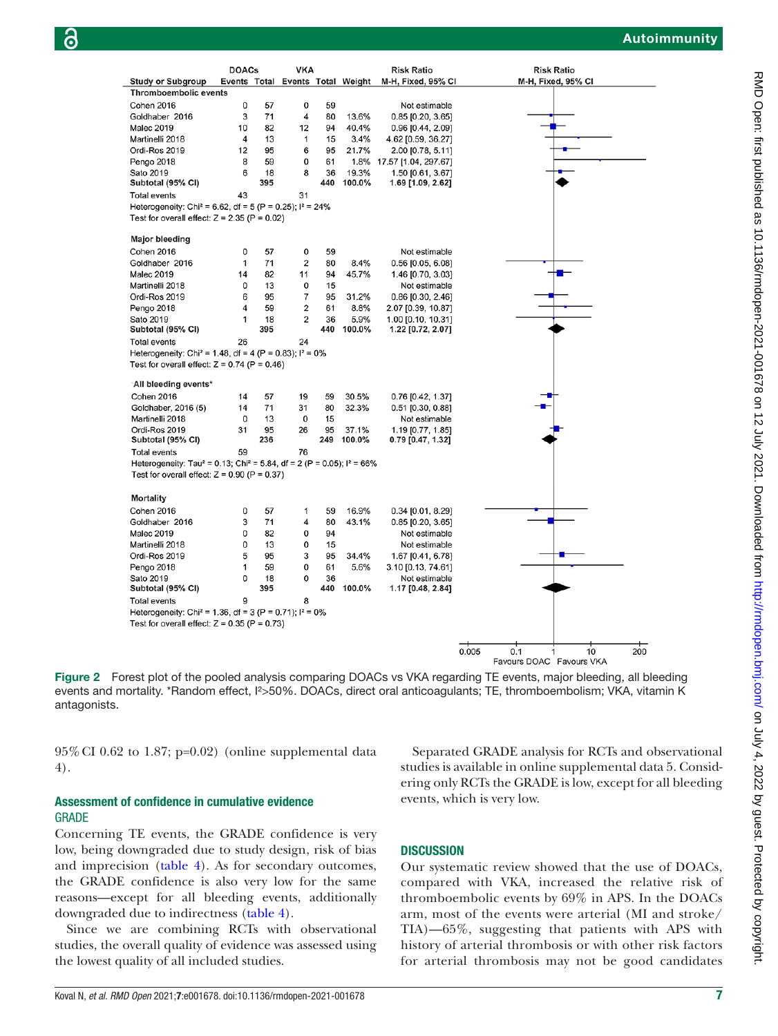|                                                                                                 | <b>DOACs</b> |     | <b>VKA</b>     |     |        | <b>Risk Ratio</b>                                   | <b>Risk Ratio</b>  |     |
|-------------------------------------------------------------------------------------------------|--------------|-----|----------------|-----|--------|-----------------------------------------------------|--------------------|-----|
| <b>Study or Subgroup</b>                                                                        |              |     |                |     |        | Events Total Events Total Weight M-H, Fixed, 95% Cl | M-H, Fixed, 95% CI |     |
| <b>Thromboembolic events</b>                                                                    |              |     |                |     |        |                                                     |                    |     |
| Cohen 2016                                                                                      | 0            | 57  | 0              | 59  |        | Not estimable                                       |                    |     |
| Goldhaber 2016                                                                                  | 3            | 71  | 4              | 80  | 13.6%  | $0.85$ [0.20, 3.65]                                 |                    |     |
| <b>Malec 2019</b>                                                                               | 10           | 82  | 12             | 94  | 40.4%  | 0.96 [0.44, 2.09]                                   |                    |     |
| Martinelli 2018                                                                                 | 4            | 13  | 1              | 15  | 3.4%   | 4.62 [0.59, 36.27]                                  |                    |     |
| Ordi-Ros 2019                                                                                   | 12           | 95  | 6              | 95  | 21.7%  | 2.00 [0.78, 5.11]                                   |                    |     |
| Pengo 2018                                                                                      | 8            | 59  | 0              | 61  | 1.8%   | 17.57 [1.04, 297.67]                                |                    |     |
| Sato 2019                                                                                       | 6            | 18  | 8              | 36  | 19.3%  | 1.50 [0.61, 3.67]                                   |                    |     |
| Subtotal (95% CI)                                                                               |              | 395 |                | 440 | 100.0% | 1.69 [1.09, 2.62]                                   |                    |     |
| <b>Total events</b>                                                                             | 43           |     | 31             |     |        |                                                     |                    |     |
| Heterogeneity: Chi <sup>2</sup> = 6.62, df = 5 (P = 0.25); $1^2$ = 24%                          |              |     |                |     |        |                                                     |                    |     |
| Test for overall effect: $Z = 2.35$ (P = 0.02)                                                  |              |     |                |     |        |                                                     |                    |     |
| <b>Major bleeding</b>                                                                           |              |     |                |     |        |                                                     |                    |     |
| Cohen 2016                                                                                      | 0            | 57  | 0              | 59  |        |                                                     |                    |     |
| Goldhaber 2016                                                                                  | 1            | 71  | $\overline{c}$ | 80  | 8.4%   | Not estimable                                       |                    |     |
| <b>Malec 2019</b>                                                                               | 14           | 82  | 11             | 94  | 45.7%  | $0.56$ [0.05, 6.08]                                 |                    |     |
| Martinelli 2018                                                                                 | 0            | 13  | 0              | 15  |        | 1.46 [0.70, 3.03]<br>Not estimable                  |                    |     |
| Ordi-Ros 2019                                                                                   | 6            | 95  | 7              | 95  | 31.2%  |                                                     |                    |     |
|                                                                                                 | 4            | 59  | 2              | 61  | 8.8%   | $0.86$ [0.30, 2.46]                                 |                    |     |
| Pengo 2018<br>Sato 2019                                                                         | 1            | 18  | $\overline{2}$ | 36  | 5.9%   | 2.07 [0.39, 10.87]<br>1.00 [0.10, 10.31]            |                    |     |
| Subtotal (95% CI)                                                                               |              | 395 |                | 440 | 100.0% | 1.22 [0.72, 2.07]                                   |                    |     |
| <b>Total events</b>                                                                             | 26           |     | 24             |     |        |                                                     |                    |     |
| Heterogeneity: Chi <sup>2</sup> = 1.48, df = 4 (P = 0.83); $1^2$ = 0%                           |              |     |                |     |        |                                                     |                    |     |
| Test for overall effect: $Z = 0.74$ (P = 0.46)                                                  |              |     |                |     |        |                                                     |                    |     |
|                                                                                                 |              |     |                |     |        |                                                     |                    |     |
| All bleeding events*                                                                            |              |     |                |     |        |                                                     |                    |     |
| Cohen 2016                                                                                      | 14           | 57  | 19             | 59  | 30.5%  | 0.76 [0.42, 1.37]                                   |                    |     |
| Goldhaber, 2016 (5)                                                                             | 14           | 71  | 31             | 80  | 32.3%  | $0.51$ [0.30, 0.88]                                 |                    |     |
| Martinelli 2018                                                                                 | 0            | 13  | 0              | 15  |        | Not estimable                                       |                    |     |
| Ordi-Ros 2019                                                                                   | 31           | 95  | 26             | 95  | 37.1%  | 1.19 [0.77, 1.85]                                   |                    |     |
| Subtotal (95% CI)                                                                               |              | 236 |                | 249 | 100.0% | 0.79 [0.47, 1.32]                                   |                    |     |
| <b>Total events</b>                                                                             | 59           |     | 76             |     |        |                                                     |                    |     |
| Heterogeneity: Tau <sup>2</sup> = 0.13; Chi <sup>2</sup> = 5.84, df = 2 (P = 0.05); $I^2$ = 66% |              |     |                |     |        |                                                     |                    |     |
| Test for overall effect: $Z = 0.90$ (P = 0.37)                                                  |              |     |                |     |        |                                                     |                    |     |
| <b>Mortality</b>                                                                                |              |     |                |     |        |                                                     |                    |     |
| Cohen 2016                                                                                      | 0            | 57  | 1              | 59  | 16.9%  | $0.34$ [0.01, 8.29]                                 |                    |     |
| Goldhaber 2016                                                                                  | 3            | 71  | 4              | 80  | 43.1%  | $0.85$ [0.20, 3.65]                                 |                    |     |
| <b>Malec 2019</b>                                                                               | 0            | 82  | $\mathbf 0$    | 94  |        | Not estimable                                       |                    |     |
| Martinelli 2018                                                                                 | 0            | 13  | 0              | 15  |        | Not estimable                                       |                    |     |
| Ordi-Ros 2019                                                                                   | 5            | 95  | 3              | 95  | 34.4%  | 1.67 [0.41, 6.78]                                   |                    |     |
| Pengo 2018                                                                                      | 1            | 59  | $\mathbf 0$    | 61  | 5.6%   | 3.10 [0.13, 74.61]                                  |                    |     |
| Sato 2019                                                                                       | 0            | 18  | 0              | 36  |        | Not estimable                                       |                    |     |
| Subtotal (95% CI)                                                                               |              | 395 |                | 440 | 100.0% | 1.17 [0.48, 2.84]                                   |                    |     |
| <b>Total events</b>                                                                             | 9            |     | 8              |     |        |                                                     |                    |     |
| Heterogeneity: Chi <sup>2</sup> = 1.36, df = 3 (P = 0.71); $1^2$ = 0%                           |              |     |                |     |        |                                                     |                    |     |
| Test for overall effect: $Z = 0.35$ (P = 0.73)                                                  |              |     |                |     |        |                                                     |                    |     |
|                                                                                                 |              |     |                |     |        |                                                     |                    |     |
|                                                                                                 |              |     |                |     |        |                                                     | 0.005<br>10<br>0.1 | 200 |
|                                                                                                 |              |     |                |     |        |                                                     |                    |     |

<span id="page-6-0"></span>

 $95\%$  CI 0.62 to 1.87; p=0.02) ([online supplemental data](https://dx.doi.org/10.1136/rmdopen-2021-001678) [4](https://dx.doi.org/10.1136/rmdopen-2021-001678)).

#### Assessment of confidence in cumulative evidence GRADE

Concerning TE events, the GRADE confidence is very low, being downgraded due to study design, risk of bias and imprecision ([table](#page-7-0) 4). As for secondary outcomes, the GRADE confidence is also very low for the same reasons—except for all bleeding events, additionally downgraded due to indirectness ([table](#page-7-0) 4).

Since we are combining RCTs with observational studies, the overall quality of evidence was assessed using the lowest quality of all included studies.

Separated GRADE analysis for RCTs and observational studies is available in [online supplemental data 5.](https://dx.doi.org/10.1136/rmdopen-2021-001678) Considering only RCTs the GRADE is low, except for all bleeding events, which is very low.

Favours DOAC Favours VKA

#### **DISCUSSION**

Our systematic review showed that the use of DOACs, compared with VKA, increased the relative risk of thromboembolic events by 69% in APS. In the DOACs arm, most of the events were arterial (MI and stroke/ TIA)—65%, suggesting that patients with APS with history of arterial thrombosis or with other risk factors for arterial thrombosis may not be good candidates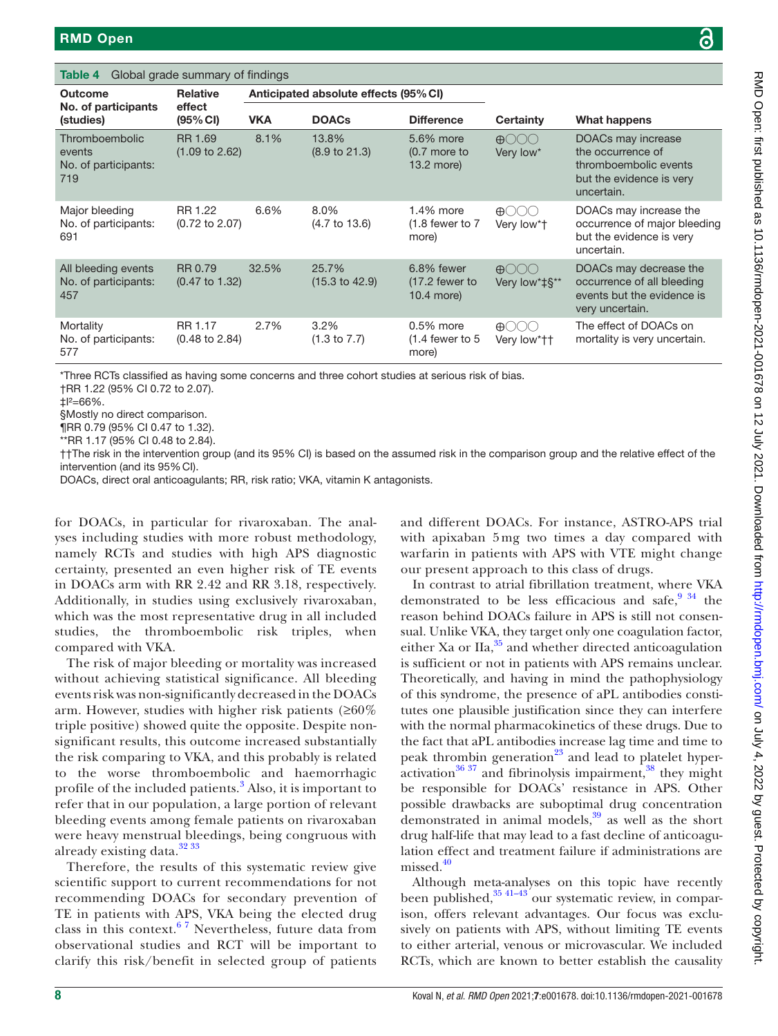<span id="page-7-0"></span>Table 4 Global grade summary of findings

| <b>Outcome</b>                                          | <b>Relative</b>                      |            | Anticipated absolute effects (95% CI) |                                                  |                                                  |                                                                                                            |
|---------------------------------------------------------|--------------------------------------|------------|---------------------------------------|--------------------------------------------------|--------------------------------------------------|------------------------------------------------------------------------------------------------------------|
| No. of participants<br>(studies)                        | effect<br>(95% CI)                   | <b>VKA</b> | <b>DOACs</b>                          | <b>Difference</b>                                | <b>Certainty</b>                                 | What happens                                                                                               |
| Thromboembolic<br>events<br>No. of participants:<br>719 | RR 1.69<br>$(1.09 \text{ to } 2.62)$ | 8.1%       | 13.8%<br>$(8.9 \text{ to } 21.3)$     | 5.6% more<br>$(0.7$ more to<br>13.2 more)        | $\bigoplus$<br>Very low*                         | DOACs may increase<br>the occurrence of<br>thromboembolic events<br>but the evidence is very<br>uncertain. |
| Major bleeding<br>No. of participants:<br>691           | RR 1.22<br>$(0.72 \text{ to } 2.07)$ | 6.6%       | 8.0%<br>$(4.7 \text{ to } 13.6)$      | 1.4% more<br>$(1.8$ fewer to $7$<br>more)        | $\bigoplus$<br>Very low*†                        | DOACs may increase the<br>occurrence of major bleeding<br>but the evidence is very<br>uncertain.           |
| All bleeding events<br>No. of participants:<br>457      | RR 0.79<br>$(0.47 \text{ to } 1.32)$ | 32.5%      | 25.7%<br>$(15.3 \text{ to } 42.9)$    | $6.8\%$ fewer<br>$(17.2)$ fewer to<br>10.4 more) | $\bigoplus$<br>Very low*‡§**                     | DOACs may decrease the<br>occurrence of all bleeding<br>events but the evidence is<br>very uncertain.      |
| Mortality<br>No. of participants:<br>577                | RR 1.17<br>$(0.48 \text{ to } 2.84)$ | 2.7%       | 3.2%<br>$(1.3 \text{ to } 7.7)$       | $0.5\%$ more<br>$(1.4$ fewer to 5<br>more)       | $\bigoplus$ $\bigcirc$ $\bigcirc$<br>Very low*†† | The effect of DOACs on<br>mortality is very uncertain.                                                     |

‡I²=66%.

§Mostly no direct comparison.

¶RR 0.79 (95% CI 0.47 to 1.32).

\*\*RR 1.17 (95% CI 0.48 to 2.84).

††The risk in the intervention group (and its 95% CI) is based on the assumed risk in the comparison group and the relative effect of the intervention (and its 95%CI).

DOACs, direct oral anticoagulants; RR, risk ratio; VKA, vitamin K antagonists.

for DOACs, in particular for rivaroxaban. The analyses including studies with more robust methodology, namely RCTs and studies with high APS diagnostic certainty, presented an even higher risk of TE events in DOACs arm with RR 2.42 and RR 3.18, respectively. Additionally, in studies using exclusively rivaroxaban, which was the most representative drug in all included studies, the thromboembolic risk triples, when compared with VKA.

The risk of major bleeding or mortality was increased without achieving statistical significance. All bleeding events risk was non-significantly decreased in the DOACs arm. However, studies with higher risk patients ( $\geq 60\%$ ) triple positive) showed quite the opposite. Despite nonsignificant results, this outcome increased substantially the risk comparing to VKA, and this probably is related to the worse thromboembolic and haemorrhagic profile of the included patients.<sup>[3](#page-8-1)</sup> Also, it is important to refer that in our population, a large portion of relevant bleeding events among female patients on rivaroxaban were heavy menstrual bleedings, being congruous with already existing data.<sup>[32 33](#page-9-17)</sup>

Therefore, the results of this systematic review give scientific support to current recommendations for not recommending DOACs for secondary prevention of TE in patients with APS, VKA being the elected drug class in this context.<sup>67</sup> Nevertheless, future data from observational studies and RCT will be important to clarify this risk/benefit in selected group of patients

and different DOACs. For instance, ASTRO-APS trial with apixaban 5 mg two times a day compared with warfarin in patients with APS with VTE might change our present approach to this class of drugs.

In contrast to atrial fibrillation treatment, where VKA demonstrated to be less efficacious and safe,  $9^{34}$  the reason behind DOACs failure in APS is still not consensual. Unlike VKA, they target only one coagulation factor, either Xa or  $\text{IIa}, \frac{35}{2}$  and whether directed anticoagulation is sufficient or not in patients with APS remains unclear. Theoretically, and having in mind the pathophysiology of this syndrome, the presence of aPL antibodies constitutes one plausible justification since they can interfere with the normal pharmacokinetics of these drugs. Due to the fact that aPL antibodies increase lag time and time to peak thrombin generation<sup>23</sup> and lead to platelet hyperactivation $36\,37$  and fibrinolysis impairment, $38$  they might be responsible for DOACs' resistance in APS. Other possible drawbacks are suboptimal drug concentration demonstrated in animal models, $39$  as well as the short drug half-life that may lead to a fast decline of anticoagulation effect and treatment failure if administrations are  $missed.<sup>40</sup>$  $missed.<sup>40</sup>$  $missed.<sup>40</sup>$ 

Although meta-analyses on this topic have recently been published, $35 \frac{41-43}{ }$  our systematic review, in comparison, offers relevant advantages. Our focus was exclusively on patients with APS, without limiting TE events to either arterial, venous or microvascular. We included RCTs, which are known to better establish the causality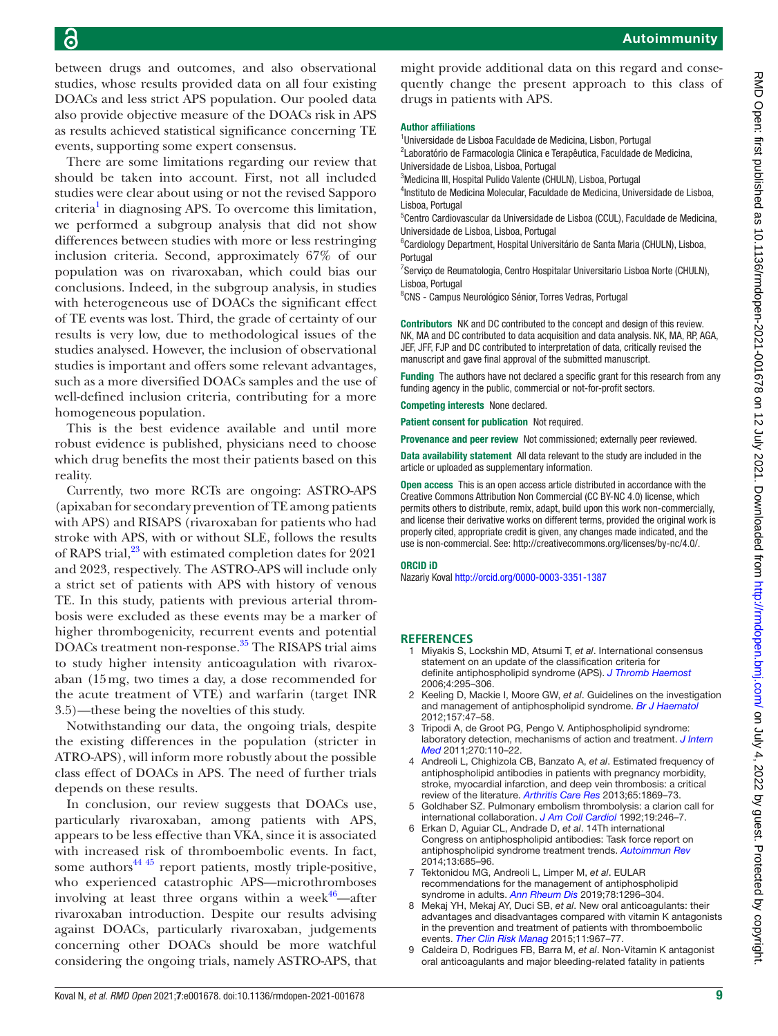between drugs and outcomes, and also observational studies, whose results provided data on all four existing DOACs and less strict APS population. Our pooled data also provide objective measure of the DOACs risk in APS as results achieved statistical significance concerning TE events, supporting some expert consensus.

There are some limitations regarding our review that should be taken into account. First, not all included studies were clear about using or not the revised Sapporo criteria<sup>1</sup> in diagnosing APS. To overcome this limitation, we performed a subgroup analysis that did not show differences between studies with more or less restringing inclusion criteria. Second, approximately 67% of our population was on rivaroxaban, which could bias our conclusions. Indeed, in the subgroup analysis, in studies with heterogeneous use of DOACs the significant effect of TE events was lost. Third, the grade of certainty of our results is very low, due to methodological issues of the studies analysed. However, the inclusion of observational studies is important and offers some relevant advantages, such as a more diversified DOACs samples and the use of well-defined inclusion criteria, contributing for a more homogeneous population.

This is the best evidence available and until more robust evidence is published, physicians need to choose which drug benefits the most their patients based on this reality.

Currently, two more RCTs are ongoing: ASTRO-APS (apixaban for secondary prevention of TE among patients with APS) and RISAPS (rivaroxaban for patients who had stroke with APS, with or without SLE, follows the results of RAPS trial, $^{23}$  with estimated completion dates for 2021 and 2023, respectively. The ASTRO-APS will include only a strict set of patients with APS with history of venous TE. In this study, patients with previous arterial thrombosis were excluded as these events may be a marker of higher thrombogenicity, recurrent events and potential DOACs treatment non-response. [35](#page-9-18) The RISAPS trial aims to study higher intensity anticoagulation with rivaroxaban (15mg, two times a day, a dose recommended for the acute treatment of VTE) and warfarin (target INR 3.5)—these being the novelties of this study.

Notwithstanding our data, the ongoing trials, despite the existing differences in the population (stricter in ATRO-APS), will inform more robustly about the possible class effect of DOACs in APS. The need of further trials depends on these results.

In conclusion, our review suggests that DOACs use, particularly rivaroxaban, among patients with APS, appears to be less effective than VKA, since it is associated with increased risk of thromboembolic events. In fact, some authors $44\frac{45}{15}$  report patients, mostly triple-positive, who experienced catastrophic APS—microthromboses involving at least three organs within a week $46$ —after rivaroxaban introduction. Despite our results advising against DOACs, particularly rivaroxaban, judgements concerning other DOACs should be more watchful considering the ongoing trials, namely ASTRO-APS, that

might provide additional data on this regard and consequently change the present approach to this class of drugs in patients with APS.

#### Author affiliations

<sup>1</sup>Universidade de Lisboa Faculdade de Medicina, Lisbon, Portugal <sup>2</sup>Laboratório de Farmacologia Clinica e Terapêutica, Faculdade de Medicina,

Universidade de Lisboa, Lisboa, Portugal 3 Medicina III, Hospital Pulido Valente (CHULN), Lisboa, Portugal

4 Instituto de Medicina Molecular, Faculdade de Medicina, Universidade de Lisboa, Lisboa, Portugal

<sup>5</sup>Centro Cardiovascular da Universidade de Lisboa (CCUL), Faculdade de Medicina, Universidade de Lisboa, Lisboa, Portugal

6 Cardiology Department, Hospital Universitário de Santa Maria (CHULN), Lisboa, **Portugal** 

<sup>7</sup> Serviço de Reumatologia, Centro Hospitalar Universitario Lisboa Norte (CHULN), Lisboa, Portugal

8 CNS - Campus Neurológico Sénior, Torres Vedras, Portugal

Contributors NK and DC contributed to the concept and design of this review. NK, MA and DC contributed to data acquisition and data analysis. NK, MA, RP, AGA, JEF, JFF, FJP and DC contributed to interpretation of data, critically revised the manuscript and gave final approval of the submitted manuscript.

Funding The authors have not declared a specific grant for this research from any funding agency in the public, commercial or not-for-profit sectors.

Competing interests None declared.

Patient consent for publication Not required.

Provenance and peer review Not commissioned; externally peer reviewed.

Data availability statement All data relevant to the study are included in the article or uploaded as supplementary information.

Open access This is an open access article distributed in accordance with the Creative Commons Attribution Non Commercial (CC BY-NC 4.0) license, which permits others to distribute, remix, adapt, build upon this work non-commercially, and license their derivative works on different terms, provided the original work is properly cited, appropriate credit is given, any changes made indicated, and the use is non-commercial. See:<http://creativecommons.org/licenses/by-nc/4.0/>.

#### ORCID iD

Nazariy Koval<http://orcid.org/0000-0003-3351-1387>

#### **REFERENCES**

- <span id="page-8-0"></span>1 Miyakis S, Lockshin MD, Atsumi T, *et al*. International consensus statement on an update of the classification criteria for definite antiphospholipid syndrome (APS). *[J Thromb Haemost](http://dx.doi.org/10.1111/j.1538-7836.2006.01753.x)* 2006;4:295–306.
- 2 Keeling D, Mackie I, Moore GW, *et al*. Guidelines on the investigation and management of antiphospholipid syndrome. *[Br J Haematol](http://dx.doi.org/10.1111/j.1365-2141.2012.09037.x)* 2012;157:47–58.
- <span id="page-8-1"></span>3 Tripodi A, de Groot PG, Pengo V. Antiphospholipid syndrome: laboratory detection, mechanisms of action and treatment. *[J Intern](http://dx.doi.org/10.1111/j.1365-2796.2011.02362.x)  [Med](http://dx.doi.org/10.1111/j.1365-2796.2011.02362.x)* 2011;270:110–22.
- <span id="page-8-2"></span>4 Andreoli L, Chighizola CB, Banzato A, *et al*. Estimated frequency of antiphospholipid antibodies in patients with pregnancy morbidity, stroke, myocardial infarction, and deep vein thrombosis: a critical review of the literature. *[Arthritis Care Res](http://dx.doi.org/10.1002/acr.22066)* 2013;65:1869–73.
- <span id="page-8-3"></span>5 Goldhaber SZ. Pulmonary embolism thrombolysis: a clarion call for international collaboration. *[J Am Coll Cardiol](http://dx.doi.org/10.1016/0735-1097(92)90473-Z)* 1992;19:246–7.
- <span id="page-8-4"></span>6 Erkan D, Aguiar CL, Andrade D, *et al*. 14Th international Congress on antiphospholipid antibodies: Task force report on antiphospholipid syndrome treatment trends. *[Autoimmun Rev](http://dx.doi.org/10.1016/j.autrev.2014.01.053)* 2014;13:685–96.
- 7 Tektonidou MG, Andreoli L, Limper M, *et al*. EULAR recommendations for the management of antiphospholipid syndrome in adults. *[Ann Rheum Dis](http://dx.doi.org/10.1136/annrheumdis-2019-215213)* 2019;78:1296–304.
- <span id="page-8-5"></span>8 Mekaj YH, Mekaj AY, Duci SB, *et al*. New oral anticoagulants: their advantages and disadvantages compared with vitamin K antagonists in the prevention and treatment of patients with thromboembolic events. *[Ther Clin Risk Manag](http://dx.doi.org/10.2147/TCRM.S84210)* 2015;11:967–77.
- <span id="page-8-6"></span>9 Caldeira D, Rodrigues FB, Barra M, *et al*. Non-Vitamin K antagonist oral anticoagulants and major bleeding-related fatality in patients